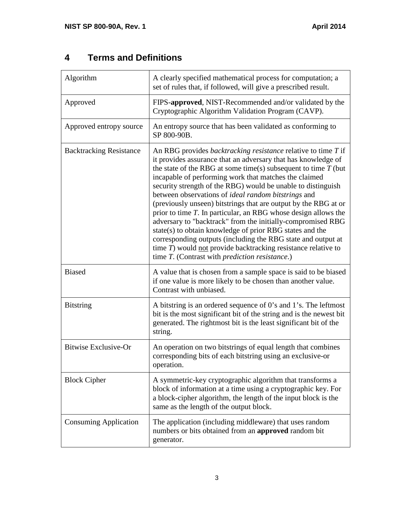#### **4 Terms and Definitions**

| Algorithm                      | A clearly specified mathematical process for computation; a<br>set of rules that, if followed, will give a prescribed result.                                                                                                                                                                                                                                                                                                                                                                                                                                                                                                                                                                                                                                                                                                                              |  |  |  |
|--------------------------------|------------------------------------------------------------------------------------------------------------------------------------------------------------------------------------------------------------------------------------------------------------------------------------------------------------------------------------------------------------------------------------------------------------------------------------------------------------------------------------------------------------------------------------------------------------------------------------------------------------------------------------------------------------------------------------------------------------------------------------------------------------------------------------------------------------------------------------------------------------|--|--|--|
| Approved                       | FIPS-approved, NIST-Recommended and/or validated by the<br>Cryptographic Algorithm Validation Program (CAVP).                                                                                                                                                                                                                                                                                                                                                                                                                                                                                                                                                                                                                                                                                                                                              |  |  |  |
| Approved entropy source        | An entropy source that has been validated as conforming to<br>SP 800-90B.                                                                                                                                                                                                                                                                                                                                                                                                                                                                                                                                                                                                                                                                                                                                                                                  |  |  |  |
| <b>Backtracking Resistance</b> | An RBG provides <i>backtracking resistance</i> relative to time T if<br>it provides assurance that an adversary that has knowledge of<br>the state of the RBG at some time(s) subsequent to time $T$ (but<br>incapable of performing work that matches the claimed<br>security strength of the RBG) would be unable to distinguish<br>between observations of ideal random bitstrings and<br>(previously unseen) bitstrings that are output by the RBG at or<br>prior to time $T$ . In particular, an RBG whose design allows the<br>adversary to "backtrack" from the initially-compromised RBG<br>state(s) to obtain knowledge of prior RBG states and the<br>corresponding outputs (including the RBG state and output at<br>time $T$ ) would not provide backtracking resistance relative to<br>time T. (Contrast with <i>prediction resistance</i> .) |  |  |  |
| <b>Biased</b>                  | A value that is chosen from a sample space is said to be biased<br>if one value is more likely to be chosen than another value.<br>Contrast with unbiased.                                                                                                                                                                                                                                                                                                                                                                                                                                                                                                                                                                                                                                                                                                 |  |  |  |
| <b>Bitstring</b>               | A bitstring is an ordered sequence of 0's and 1's. The leftmost<br>bit is the most significant bit of the string and is the newest bit<br>generated. The rightmost bit is the least significant bit of the<br>string.                                                                                                                                                                                                                                                                                                                                                                                                                                                                                                                                                                                                                                      |  |  |  |
| <b>Bitwise Exclusive-Or</b>    | An operation on two bitstrings of equal length that combines<br>corresponding bits of each bitstring using an exclusive-or<br>operation.                                                                                                                                                                                                                                                                                                                                                                                                                                                                                                                                                                                                                                                                                                                   |  |  |  |
| <b>Block Cipher</b>            | A symmetric-key cryptographic algorithm that transforms a<br>block of information at a time using a cryptographic key. For<br>a block-cipher algorithm, the length of the input block is the<br>same as the length of the output block.                                                                                                                                                                                                                                                                                                                                                                                                                                                                                                                                                                                                                    |  |  |  |
| <b>Consuming Application</b>   | The application (including middleware) that uses random<br>numbers or bits obtained from an approved random bit<br>generator.                                                                                                                                                                                                                                                                                                                                                                                                                                                                                                                                                                                                                                                                                                                              |  |  |  |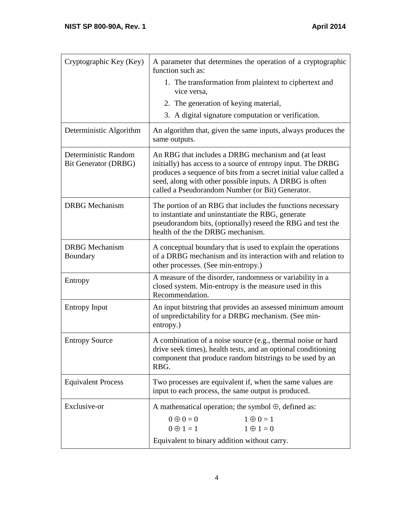| Cryptographic Key (Key)                      | A parameter that determines the operation of a cryptographic<br>function such as:                                                                                                                                                                                                                      |  |  |  |
|----------------------------------------------|--------------------------------------------------------------------------------------------------------------------------------------------------------------------------------------------------------------------------------------------------------------------------------------------------------|--|--|--|
|                                              | 1. The transformation from plaintext to ciphertext and<br>vice versa.                                                                                                                                                                                                                                  |  |  |  |
|                                              | 2. The generation of keying material,                                                                                                                                                                                                                                                                  |  |  |  |
|                                              | 3. A digital signature computation or verification.                                                                                                                                                                                                                                                    |  |  |  |
| Deterministic Algorithm                      | An algorithm that, given the same inputs, always produces the<br>same outputs.                                                                                                                                                                                                                         |  |  |  |
| Deterministic Random<br>Bit Generator (DRBG) | An RBG that includes a DRBG mechanism and (at least<br>initially) has access to a source of entropy input. The DRBG<br>produces a sequence of bits from a secret initial value called a<br>seed, along with other possible inputs. A DRBG is often<br>called a Pseudorandom Number (or Bit) Generator. |  |  |  |
| <b>DRBG</b> Mechanism                        | The portion of an RBG that includes the functions necessary<br>to instantiate and uninstantiate the RBG, generate<br>pseudorandom bits, (optionally) reseed the RBG and test the<br>health of the the DRBG mechanism.                                                                                  |  |  |  |
| <b>DRBG</b> Mechanism<br>Boundary            | A conceptual boundary that is used to explain the operations<br>of a DRBG mechanism and its interaction with and relation to<br>other processes. (See min-entropy.)                                                                                                                                    |  |  |  |
| Entropy                                      | A measure of the disorder, randomness or variability in a<br>closed system. Min-entropy is the measure used in this<br>Recommendation.                                                                                                                                                                 |  |  |  |
| <b>Entropy Input</b>                         | An input bitstring that provides an assessed minimum amount<br>of unpredictability for a DRBG mechanism. (See min-<br>entropy.)                                                                                                                                                                        |  |  |  |
| <b>Entropy Source</b>                        | A combination of a noise source (e.g., thermal noise or hard<br>drive seek times), health tests, and an optional conditioning<br>component that produce random bitstrings to be used by an<br>RBG.                                                                                                     |  |  |  |
| <b>Equivalent Process</b>                    | Two processes are equivalent if, when the same values are<br>input to each process, the same output is produced.                                                                                                                                                                                       |  |  |  |
| Exclusive-or                                 | A mathematical operation; the symbol $\oplus$ , defined as:                                                                                                                                                                                                                                            |  |  |  |
|                                              | $0 \oplus 0 = 0$<br>$1 \oplus 0 = 1$                                                                                                                                                                                                                                                                   |  |  |  |
|                                              | $0 \oplus 1 = 1$<br>$1 \oplus 1 = 0$                                                                                                                                                                                                                                                                   |  |  |  |
|                                              | Equivalent to binary addition without carry.                                                                                                                                                                                                                                                           |  |  |  |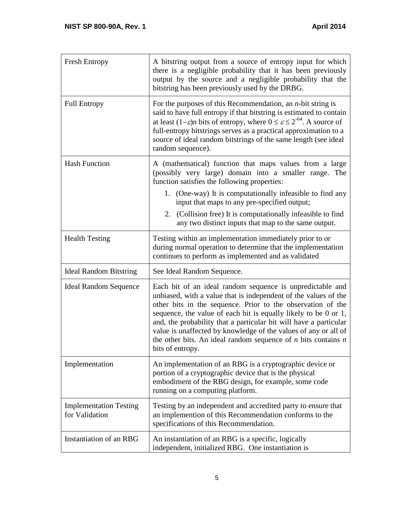| <b>Fresh Entropy</b>                            | A bitstring output from a source of entropy input for which<br>there is a negligible probability that it has been previously<br>output by the source and a negligible probability that the<br>bitstring has been previously used by the DRBG.                                                                                                                                                                                                                                                   |  |  |  |
|-------------------------------------------------|-------------------------------------------------------------------------------------------------------------------------------------------------------------------------------------------------------------------------------------------------------------------------------------------------------------------------------------------------------------------------------------------------------------------------------------------------------------------------------------------------|--|--|--|
| <b>Full Entropy</b>                             | For the purposes of this Recommendation, an $n$ -bit string is<br>said to have full entropy if that bitstring is estimated to contain<br>at least $(1-\varepsilon)n$ bits of entropy, where $0 \le \varepsilon \le 2^{-64}$ . A source of<br>full-entropy bitstrings serves as a practical approximation to a<br>source of ideal random bitstrings of the same length (see ideal<br>random sequence).                                                                                           |  |  |  |
| <b>Hash Function</b>                            | A (mathematical) function that maps values from a large<br>(possibly very large) domain into a smaller range. The<br>function satisfies the following properties:<br>1. (One-way) It is computationally infeasible to find any<br>input that maps to any pre-specified output;<br>2. (Collision free) It is computationally infeasible to find<br>any two distinct inputs that map to the same output.                                                                                          |  |  |  |
| <b>Health Testing</b>                           | Testing within an implementation immediately prior to or<br>during normal operation to determine that the implementation<br>continues to perform as implemented and as validated                                                                                                                                                                                                                                                                                                                |  |  |  |
| <b>Ideal Random Bitstring</b>                   | See Ideal Random Sequence.                                                                                                                                                                                                                                                                                                                                                                                                                                                                      |  |  |  |
| <b>Ideal Random Sequence</b>                    | Each bit of an ideal random sequence is unpredictable and<br>unbiased, with a value that is independent of the values of the<br>other bits in the sequence. Prior to the observation of the<br>sequence, the value of each bit is equally likely to be 0 or 1,<br>and, the probability that a particular bit will have a particular<br>value is unaffected by knowledge of the values of any or all of<br>the other bits. An ideal random sequence of $n$ bits contains $n$<br>bits of entropy. |  |  |  |
| Implementation                                  | An implementation of an RBG is a cryptographic device or<br>portion of a cryptographic device that is the physical<br>embodiment of the RBG design, for example, some code<br>running on a computing platform.                                                                                                                                                                                                                                                                                  |  |  |  |
| <b>Implementation Testing</b><br>for Validation | Testing by an independent and accredited party to ensure that<br>an implemention of this Recommendation conforms to the<br>specifications of this Recommendation.                                                                                                                                                                                                                                                                                                                               |  |  |  |
| Instantiation of an RBG                         | An instantiation of an RBG is a specific, logically<br>independent, initialized RBG. One instantiation is                                                                                                                                                                                                                                                                                                                                                                                       |  |  |  |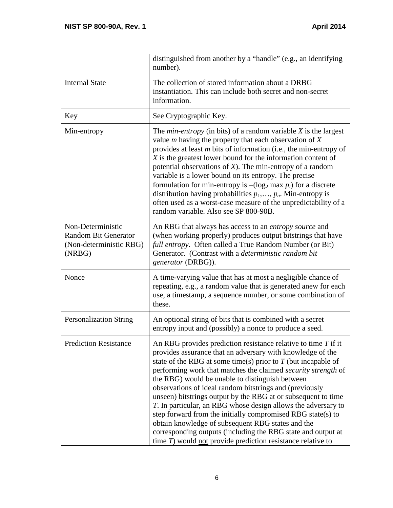|                                                                                       | distinguished from another by a "handle" (e.g., an identifying<br>number).                                                                                                                                                                                                                                                                                                                                                                                                                                                                                                                                                                                                                                                                                               |  |  |  |
|---------------------------------------------------------------------------------------|--------------------------------------------------------------------------------------------------------------------------------------------------------------------------------------------------------------------------------------------------------------------------------------------------------------------------------------------------------------------------------------------------------------------------------------------------------------------------------------------------------------------------------------------------------------------------------------------------------------------------------------------------------------------------------------------------------------------------------------------------------------------------|--|--|--|
| <b>Internal State</b>                                                                 | The collection of stored information about a DRBG<br>instantiation. This can include both secret and non-secret<br>information.                                                                                                                                                                                                                                                                                                                                                                                                                                                                                                                                                                                                                                          |  |  |  |
| Key                                                                                   | See Cryptographic Key.                                                                                                                                                                                                                                                                                                                                                                                                                                                                                                                                                                                                                                                                                                                                                   |  |  |  |
| Min-entropy                                                                           | The <i>min-entropy</i> (in bits) of a random variable $X$ is the largest<br>value $m$ having the property that each observation of $X$<br>provides at least $m$ bits of information (i.e., the min-entropy of<br>$X$ is the greatest lower bound for the information content of<br>potential observations of $X$ ). The min-entropy of a random<br>variable is a lower bound on its entropy. The precise<br>formulation for min-entropy is $-(\log_2 \max p_i)$ for a discrete<br>distribution having probabilities $p_1, \ldots, p_n$ . Min-entropy is<br>often used as a worst-case measure of the unpredictability of a<br>random variable. Also see SP 800-90B.                                                                                                      |  |  |  |
| Non-Deterministic<br><b>Random Bit Generator</b><br>(Non-deterministic RBG)<br>(NRBG) | An RBG that always has access to an entropy source and<br>(when working properly) produces output bitstrings that have<br>full entropy. Often called a True Random Number (or Bit)<br>Generator. (Contrast with a deterministic random bit<br>generator (DRBG)).                                                                                                                                                                                                                                                                                                                                                                                                                                                                                                         |  |  |  |
| Nonce                                                                                 | A time-varying value that has at most a negligible chance of<br>repeating, e.g., a random value that is generated anew for each<br>use, a timestamp, a sequence number, or some combination of<br>these.                                                                                                                                                                                                                                                                                                                                                                                                                                                                                                                                                                 |  |  |  |
| <b>Personalization String</b>                                                         | An optional string of bits that is combined with a secret<br>entropy input and (possibly) a nonce to produce a seed.                                                                                                                                                                                                                                                                                                                                                                                                                                                                                                                                                                                                                                                     |  |  |  |
| <b>Prediction Resistance</b>                                                          | An RBG provides prediction resistance relative to time $T$ if it<br>provides assurance that an adversary with knowledge of the<br>state of the RBG at some time(s) prior to $T$ (but incapable of<br>performing work that matches the claimed security strength of<br>the RBG) would be unable to distinguish between<br>observations of ideal random bitstrings and (previously<br>unseen) bitstrings output by the RBG at or subsequent to time<br>T. In particular, an RBG whose design allows the adversary to<br>step forward from the initially compromised RBG state(s) to<br>obtain knowledge of subsequent RBG states and the<br>corresponding outputs (including the RBG state and output at<br>time $T$ ) would not provide prediction resistance relative to |  |  |  |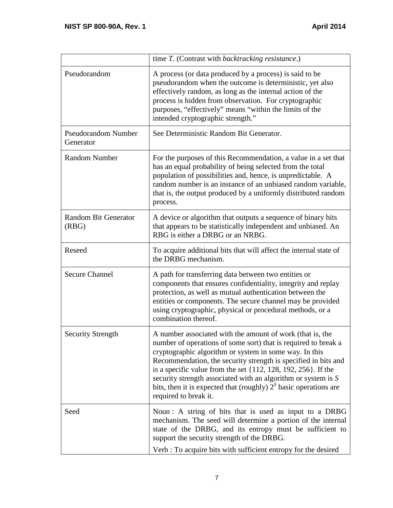|                                         | time T. (Contrast with backtracking resistance.)                                                                                                                                                                                                                                                                                                                                                                                                                                              |  |  |  |
|-----------------------------------------|-----------------------------------------------------------------------------------------------------------------------------------------------------------------------------------------------------------------------------------------------------------------------------------------------------------------------------------------------------------------------------------------------------------------------------------------------------------------------------------------------|--|--|--|
| Pseudorandom                            | A process (or data produced by a process) is said to be<br>pseudorandom when the outcome is deterministic, yet also<br>effectively random, as long as the internal action of the<br>process is hidden from observation. For cryptographic<br>purposes, "effectively" means "within the limits of the<br>intended cryptographic strength."                                                                                                                                                     |  |  |  |
| <b>Pseudorandom Number</b><br>Generator | See Deterministic Random Bit Generator.                                                                                                                                                                                                                                                                                                                                                                                                                                                       |  |  |  |
| <b>Random Number</b>                    | For the purposes of this Recommendation, a value in a set that<br>has an equal probability of being selected from the total<br>population of possibilities and, hence, is unpredictable. A<br>random number is an instance of an unbiased random variable,<br>that is, the output produced by a uniformly distributed random<br>process.                                                                                                                                                      |  |  |  |
| <b>Random Bit Generator</b><br>(RBG)    | A device or algorithm that outputs a sequence of binary bits<br>that appears to be statistically independent and unbiased. An<br>RBG is either a DRBG or an NRBG.                                                                                                                                                                                                                                                                                                                             |  |  |  |
| Reseed                                  | To acquire additional bits that will affect the internal state of<br>the DRBG mechanism.                                                                                                                                                                                                                                                                                                                                                                                                      |  |  |  |
| <b>Secure Channel</b>                   | A path for transferring data between two entities or<br>components that ensures confidentiality, integrity and replay<br>protection, as well as mutual authentication between the<br>entities or components. The secure channel may be provided<br>using cryptographic, physical or procedural methods, or a<br>combination thereof.                                                                                                                                                          |  |  |  |
| <b>Security Strength</b>                | A number associated with the amount of work (that is, the<br>number of operations of some sort) that is required to break a<br>cryptographic algorithm or system in some way. In this<br>Recommendation, the security strength is specified in bits and<br>is a specific value from the set $\{112, 128, 192, 256\}$ . If the<br>security strength associated with an algorithm or system is S<br>bits, then it is expected that (roughly) $2S$ basic operations are<br>required to break it. |  |  |  |
| Seed                                    | Noun: A string of bits that is used as input to a DRBG<br>mechanism. The seed will determine a portion of the internal<br>state of the DRBG, and its entropy must be sufficient to<br>support the security strength of the DRBG.<br>Verb : To acquire bits with sufficient entropy for the desired                                                                                                                                                                                            |  |  |  |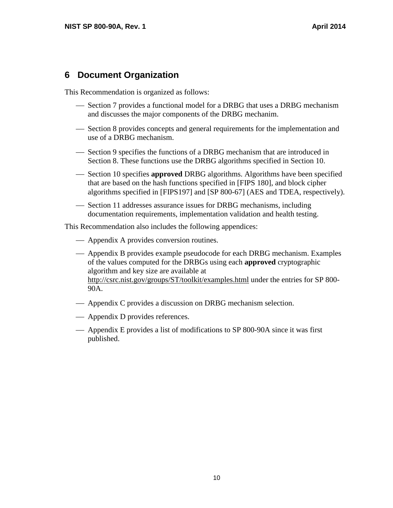# **6 Document Organization**

This Recommendation is organized as follows:

- Section 7 provides a functional model for a DRBG that uses a DRBG mechanism and discusses the major components of the DRBG mechanim.
- Section 8 provides concepts and general requirements for the implementation and use of a DRBG mechanism.
- Section 9 specifies the functions of a DRBG mechanism that are introduced in Section 8. These functions use the DRBG algorithms specified in Section 10.
- algorithms specified in [FIPS197] and [SP 800-67] (AES and TDEA, respectively). Section 10 specifies **approved** DRBG algorithms. Algorithms have been specified that are based on the hash functions specified in [FIPS 180], and block cipher
- Section 11 addresses assurance issues for DRBG mechanisms, including documentation requirements, implementation validation and health testing.

This Recommendation also includes the following appendices:

- Appendix A provides conversion routines.
- of the values computed for the DRBGs using each **approved** cryptographic Appendix B provides example pseudocode for each DRBG mechanism. Examples algorithm and key size are available at http://csrc.nist.gov/groups/ST/toolkit/examples.html under the entries for SP 800 90A.
- Appendix C provides a discussion on DRBG mechanism selection.
- Appendix D provides references.
- Appendix E provides a list of modifications to SP 800-90A since it was first published.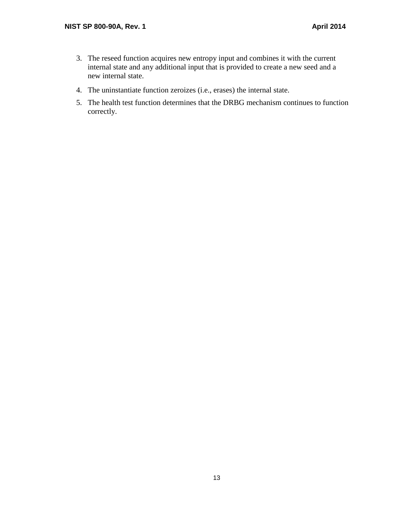- 3. The reseed function acquires new entropy input and combines it with the current internal state and any additional input that is provided to create a new seed and a new internal state.
- 4. The uninstantiate function zeroizes (i.e., erases) the internal state.
- 5. The health test function determines that the DRBG mechanism continues to function correctly.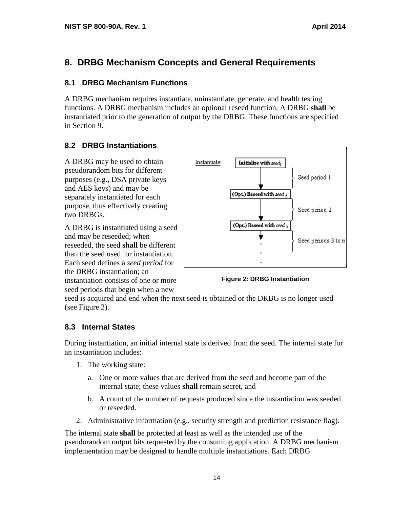# **8. DRBG Mechanism Concepts and General Requirements**

#### **8.1 DRBG Mechanism Functions**

A DRBG mechanism requires instantiate, uninstantiate, generate, and health testing functions. A DRBG mechanism includes an optional reseed function. A DRBG **shall** be instantiated prior to the generation of output by the DRBG. These functions are specified in Section 9.

### **8.2 DRBG Instantiations**

 and AES keys) and may be separately instantiated for each purpose, thus effectively creating A DRBG may be used to obtain pseudorandom bits for different purposes (e.g., DSA private keys two DRBGs.

A DRBG is instantiated using a seed and may be reseeded; when reseeded, the seed **shall** be different than the seed used for instantiation. Each seed defines a *seed period* for the DRBG instantiation; an instantiation consists of one or more seed periods that begin when a new





seed is acquired and end when the next seed is obtained or the DRBG is no longer used (see Figure 2).

### **8.3 Internal States**

During instantiation, an initial internal state is derived from the seed. The internal state for an instantiation includes:

- 1. The working state:
	- a. One or more values that are derived from the seed and become part of the internal state; these values **shall** remain secret, and
	- b. A count of the number of requests produced since the instantiation was seeded or reseeded.
- 2. Administrative information (e.g., security strength and prediction resistance flag).

The internal state **shall** be protected at least as well as the intended use of the pseudorandom output bits requested by the consuming application. A DRBG mechanism implementation may be designed to handle multiple instantiations. Each DRBG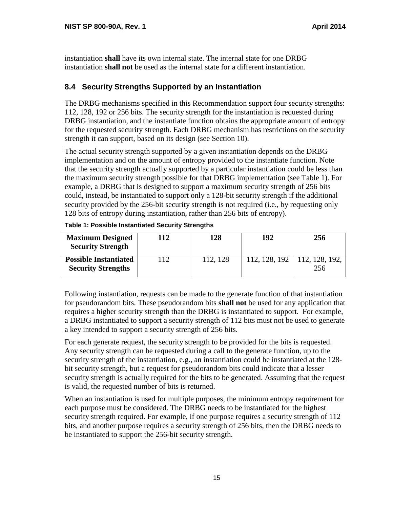instantiation **shall** have its own internal state. The internal state for one DRBG instantiation **shall not** be used as the internal state for a different instantiation.

## **8.4 Security Strengths Supported by an Instantiation**

The DRBG mechanisms specified in this Recommendation support four security strengths: 112, 128, 192 or 256 bits. The security strength for the instantiation is requested during DRBG instantiation, and the instantiate function obtains the appropriate amount of entropy for the requested security strength. Each DRBG mechanism has restrictions on the security strength it can support, based on its design (see Section 10).

The actual security strength supported by a given instantiation depends on the DRBG implementation and on the amount of entropy provided to the instantiate function. Note that the security strength actually supported by a particular instantiation could be less than the maximum security strength possible for that DRBG implementation (see Table 1). For example, a DRBG that is designed to support a maximum security strength of 256 bits could, instead, be instantiated to support only a 128-bit security strength if the additional security provided by the 256-bit security strength is not required (i.e., by requesting only 128 bits of entropy during instantiation, rather than 256 bits of entropy).

| <b>Maximum Designed</b><br><b>Security Strength</b>       | 112 | 128      | 192           | 256                   |
|-----------------------------------------------------------|-----|----------|---------------|-----------------------|
| <b>Possible Instantiated</b><br><b>Security Strengths</b> | 112 | 112, 128 | 112, 128, 192 | 112, 128, 192,<br>256 |

**Table 1: Possible Instantiated Security Strengths** 

 for pseudorandom bits. These pseudorandom bits **shall not** be used for any application that Following instantiation, requests can be made to the generate function of that instantiation requires a higher security strength than the DRBG is instantiated to support. For example, a DRBG instantiated to support a security strength of 112 bits must not be used to generate a key intended to support a security strength of 256 bits.

For each generate request, the security strength to be provided for the bits is requested. Any security strength can be requested during a call to the generate function, up to the security strength of the instantiation, e.g., an instantiation could be instantiated at the 128bit security strength, but a request for pseudorandom bits could indicate that a lesser security strength is actually required for the bits to be generated. Assuming that the request is valid, the requested number of bits is returned.

When an instantiation is used for multiple purposes, the minimum entropy requirement for each purpose must be considered. The DRBG needs to be instantiated for the highest security strength required. For example, if one purpose requires a security strength of 112 bits, and another purpose requires a security strength of 256 bits, then the DRBG needs to be instantiated to support the 256-bit security strength.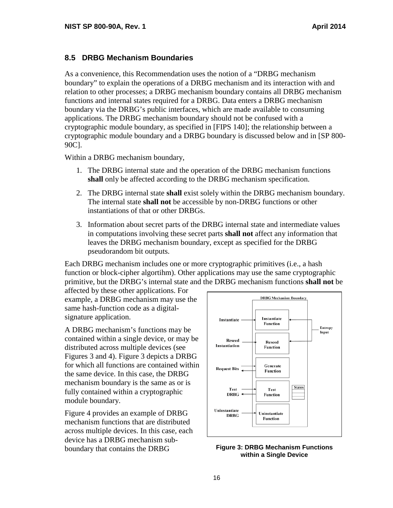#### **8.5 DRBG Mechanism Boundaries**

As a convenience, this Recommendation uses the notion of a "DRBG mechanism boundary" to explain the operations of a DRBG mechanism and its interaction with and relation to other processes; a DRBG mechanism boundary contains all DRBG mechanism functions and internal states required for a DRBG. Data enters a DRBG mechanism boundary via the DRBG's public interfaces, which are made available to consuming applications. The DRBG mechanism boundary should not be confused with a cryptographic module boundary, as specified in [FIPS 140]; the relationship between a cryptographic module boundary and a DRBG boundary is discussed below and in [SP 800 90C].

Within a DRBG mechanism boundary,

- 1. The DRBG internal state and the operation of the DRBG mechanism functions **shall** only be affected according to the DRBG mechanism specification.
- 2. The DRBG internal state **shall** exist solely within the DRBG mechanism boundary. The internal state **shall not** be accessible by non-DRBG functions or other instantiations of that or other DRBGs.
- in computations involving these secret parts **shall not** affect any information that leaves the DRBG mechanism boundary, except as specified for the DRBG 3. Information about secret parts of the DRBG internal state and intermediate values pseudorandom bit outputs.

 primitive, but the DRBG's internal state and the DRBG mechanism functions **shall not** be Each DRBG mechanism includes one or more cryptographic primitives (i.e., a hash function or block-cipher algortihm). Other applications may use the same cryptographic

affected by these other applications. For example, a DRBG mechanism may use the same hash-function code as a digitalsignature application.

 distributed across multiple devices (see A DRBG mechanism's functions may be contained within a single device, or may be Figures 3 and 4). Figure 3 depicts a DRBG for which all functions are contained within the same device. In this case, the DRBG mechanism boundary is the same as or is fully contained within a cryptographic module boundary.

Figure 4 provides an example of DRBG mechanism functions that are distributed across multiple devices. In this case, each device has a DRBG mechanism subboundary that contains the DRBG **Figure 3: DRBG Mechanism Functions**



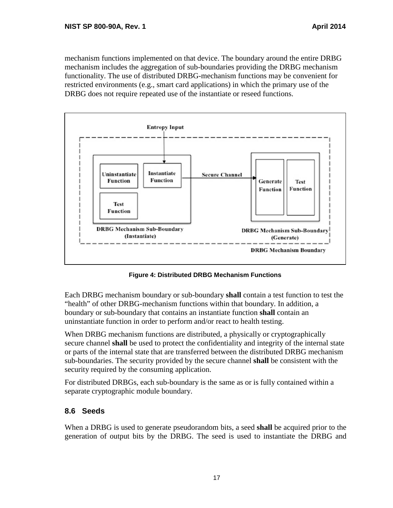restricted environments (e.g., smart card applications) in which the primary use of the mechanism functions implemented on that device. The boundary around the entire DRBG mechanism includes the aggregation of sub-boundaries providing the DRBG mechanism functionality. The use of distributed DRBG-mechanism functions may be convenient for DRBG does not require repeated use of the instantiate or reseed functions.



**Figure 4: Distributed DRBG Mechanism Functions** 

 Each DRBG mechanism boundary or sub-boundary **shall** contain a test function to test the uninstantiate function in order to perform and/or react to health testing. "health" of other DRBG-mechanism functions within that boundary. In addition, a boundary or sub-boundary that contains an instantiate function **shall** contain an

 secure channel **shall** be used to protect the confidentiality and integrity of the internal state When DRBG mechanism functions are distributed, a physically or cryptographically or parts of the internal state that are transferred between the distributed DRBG mechanism sub-boundaries. The security provided by the secure channel **shall** be consistent with the security required by the consuming application.

For distributed DRBGs, each sub-boundary is the same as or is fully contained within a separate cryptographic module boundary.

## **8.6 Seeds**

When a DRBG is used to generate pseudorandom bits, a seed **shall** be acquired prior to the generation of output bits by the DRBG. The seed is used to instantiate the DRBG and